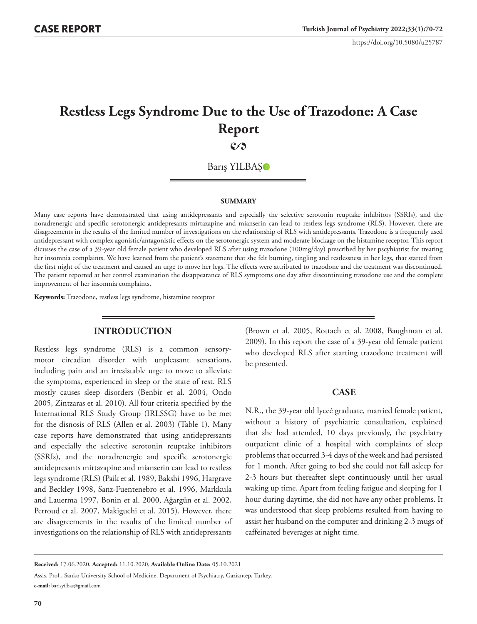# **Restless Legs Syndrome Due to the Use of Trazodone: A Case Report**

**2** 

Barış YILBAŞ

#### **SUMMARY**

Many case reports have demonstrated that using antidepressants and especially the selective serotonin reuptake inhibitors (SSRIs), and the noradrenergic and specific serotonergic antidepresants mirtazapine and mianserin can lead to restless legs syndrome (RLS). However, there are disagreements in the results of the limited number of investigations on the relationship of RLS with antidepressants. Trazodone is a frequently used antidepressant with complex agonistic/antagonistic effects on the serotonergic system and moderate blockage on the histamine receptor. This report dicusses the case of a 39-year old female patient who developed RLS after using trazodone (100mg/day) prescribed by her pscyhiatrist for treating her insomnia complaints. We have learned from the patient's statement that she felt burning, tingling and restlessness in her legs, that started from the first night of the treatment and caused an urge to move her legs. The effects were attributed to trazodone and the treatment was discontinued. The patient reported at her control examination the disappearance of RLS symptoms one day after discontinuing trazodone use and the complete improvement of her insomnia complaints.

**Keywords:** Trazodone, restless legs syndrome, histamine receptor

## **INTRODUCTION**

Restless legs syndrome (RLS) is a common sensorymotor circadian disorder with unpleasant sensations, including pain and an irresistable urge to move to alleviate the symptoms, experienced in sleep or the state of rest. RLS mostly causes sleep disorders (Benbir et al. 2004, Ondo 2005, Zintzaras et al. 2010). All four criteria specified by the International RLS Study Group (IRLSSG) have to be met for the disnosis of RLS (Allen et al. 2003) (Table 1). Many case reports have demonstrated that using antidepressants and especially the selective serotonin reuptake inhibitors (SSRIs), and the noradrenergic and specific serotonergic antidepresants mirtazapine and mianserin can lead to restless legs syndrome (RLS) (Paik et al. 1989, Bakshi 1996, Hargrave and Beckley 1998, Sanz-Fuentenebro et al. 1996, Markkula and Lauerma 1997, Bonin et al. 2000, Ağargün et al. 2002, Perroud et al. 2007, Makiguchi et al. 2015). However, there are disagreements in the results of the limited number of investigations on the relationship of RLS with antidepressants

(Brown et al. 2005, Rottach et al. 2008, Baughman et al. 2009). In this report the case of a 39-year old female patient who developed RLS after starting trazodone treatment will be presented.

## **CASE**

N.R., the 39-year old lyceé graduate, married female patient, without a history of psychiatric consultation, explained that she had attended, 10 days previously, the psychiatry outpatient clinic of a hospital with complaints of sleep problems that occurred 3-4 days of the week and had persisted for 1 month. After going to bed she could not fall asleep for 2-3 hours but thereafter slept continuously until her usual waking up time. Apart from feeling fatigue and sleeping for 1 hour during daytime, she did not have any other problems. It was understood that sleep problems resulted from having to assist her husband on the computer and drinking 2-3 mugs of caffeinated beverages at night time.

Assis. Prof., Sanko University School of Medicine, Department of Psychiatry, Gaziantep, Turkey. **e-mail:** barisyilbas@gmail.com

**Received:** 17.06.2020, **Accepted:** 11.10.2020, **Available Online Date:** 05.10.2021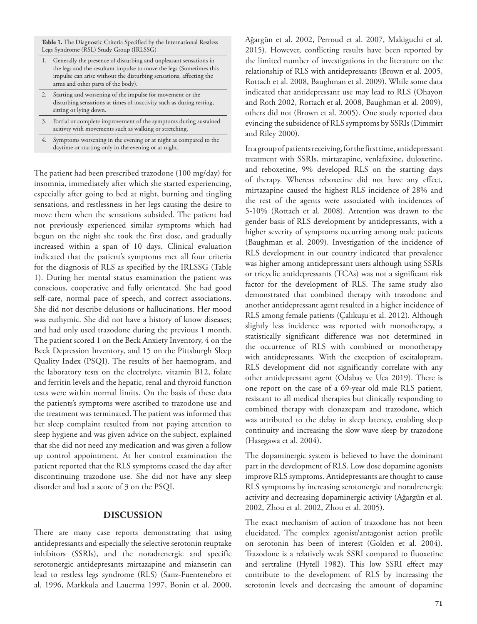**Table 1.** The Diagnostic Criteria Specified by the International Restless Legs Syndrome (RSL) Study Group (IRLSSG)

- 1. Generally the presence of disturbing and unpleasant sensations in the legs and the resultant impulse to move the legs (Sometimes this impulse can arise without the disturbing sensations, affecting the arms and other parts of the body).
- Starting and worsening of the impulse for movement or the disturbing sensations at times of inactivity such as during resting, sitting or lying down.
- 3. Partial or complete improvement of the symptoms during sustained acitivty with movements such as walking or stretching.
- Symptoms worsening in the evening or at night as compared to the daytime or starting only in the evening or at night.

The patient had been prescribed trazodone (100 mg/day) for insomnia, immediately after which she started experiencing, especially after going to bed at night, burning and tingling sensations, and restlessness in her legs causing the desire to move them when the sensations subsided. The patient had not previously experienced similar symptoms which had begun on the night she took the first dose, and gradually increased within a span of 10 days. Clinical evaluation indicated that the patient's symptoms met all four criteria for the diagnosis of RLS as specified by the IRLSSG (Table 1). During her mental status examination the patient was conscious, cooperative and fully orientated. She had good self-care, normal pace of speech, and correct associations. She did not describe delusions or hallucinations. Her mood was euthymic. She did not have a history of know diseases; and had only used trazodone during the previous 1 month. The patient scored 1 on the Beck Anxiety Inventory, 4 on the Beck Depression Inventory, and 15 on the Pittsburgh Sleep Quality Index (PSQI). The results of her haemogram, and the laboratory tests on the electrolyte, vitamin B12, folate and ferritin levels and the hepatic, renal and thyroid function tests were within normal limits. On the basis of these data the patients's symptoms were ascribed to trazodone use and the treatment was terminated. The patient was informed that her sleep complaint resulted from not paying attention to sleep hygiene and was given advice on the subject, explained that she did not need any medication and was given a follow up control appointment. At her control examination the patient reported that the RLS symptoms ceased the day after discontinuing trazodone use. She did not have any sleep disorder and had a score of 3 on the PSQI.

### **DISCUSSION**

There are many case reports demonstrating that using antidepressants and especially the selective serotonin reuptake inhibitors (SSRIs), and the noradrenergic and specific serotonergic antidepresants mirtazapine and mianserin can lead to restless legs syndrome (RLS) (Sanz-Fuentenebro et al. 1996, Markkula and Lauerma 1997, Bonin et al. 2000,

Ağargün et al. 2002, Perroud et al. 2007, Makiguchi et al. 2015). However, conflicting results have been reported by the limited number of investigations in the literature on the relationship of RLS with antidepressants (Brown et al. 2005, Rottach et al. 2008, Baughman et al. 2009). While some data indicated that antidepressant use may lead to RLS (Ohayon and Roth 2002, Rottach et al. 2008, Baughman et al. 2009), others did not (Brown et al. 2005). One study reported data evincing the subsidence of RLS symptoms by SSRIs (Dimmitt and Riley 2000).

In a group of patients receiving, for the first time, antidepressant treatment with SSRIs, mirtazapine, venlafaxine, duloxetine, and reboxetine, 9% developed RLS on the starting days of therapy. Whereas reboxetine did not have any effect, mirtazapine caused the highest RLS incidence of 28% and the rest of the agents were associated with incidences of 5-10% (Rottach et al. 2008). Attention was drawn to the gender basis of RLS development by antidepressants, with a higher severity of symptoms occurring among male patients (Baughman et al. 2009). Investigation of the incidence of RLS development in our country indicated that prevalence was higher among antidepressant users although using SSRIs or tricyclic antidepressants (TCAs) was not a significant risk factor for the development of RLS. The same study also demonstrated that combined therapy with trazodone and another antidepressant agent resulted in a higher incidence of RLS among female patients (Çalıkuşu et al. 2012). Although slightly less incidence was reported with monotherapy, a statistically significant difference was not determined in the occurrence of RLS with combined or monotherapy with antidepressants. With the exception of escitalopram, RLS development did not significantly correlate with any other antidepressant agent (Odabaş ve Uca 2019). There is one report on the case of a 69-year old male RLS patient, resistant to all medical therapies but clinically responding to combined therapy with clonazepam and trazodone, which was attributed to the delay in sleep latency, enabling sleep continuity and increasing the slow wave sleep by trazodone (Hasegawa et al. 2004).

The dopaminergic system is believed to have the dominant part in the development of RLS. Low dose dopamine agonists improve RLS symptoms. Antidepressants are thought to cause RLS symptoms by increasing serotonergic and noradrenergic activity and decreasing dopaminergic activity (Ağargün et al. 2002, Zhou et al. 2002, Zhou et al. 2005).

The exact mechanism of action of trazodone has not been elucidated. The complex agonist/antagonist action profile on serotonin has been of interest (Golden et al. 2004). Trazodone is a relatively weak SSRI compared to fluoxetine and sertraline (Hytell 1982). This low SSRI effect may contribute to the development of RLS by increasing the serotonin levels and decreasing the amount of dopamine